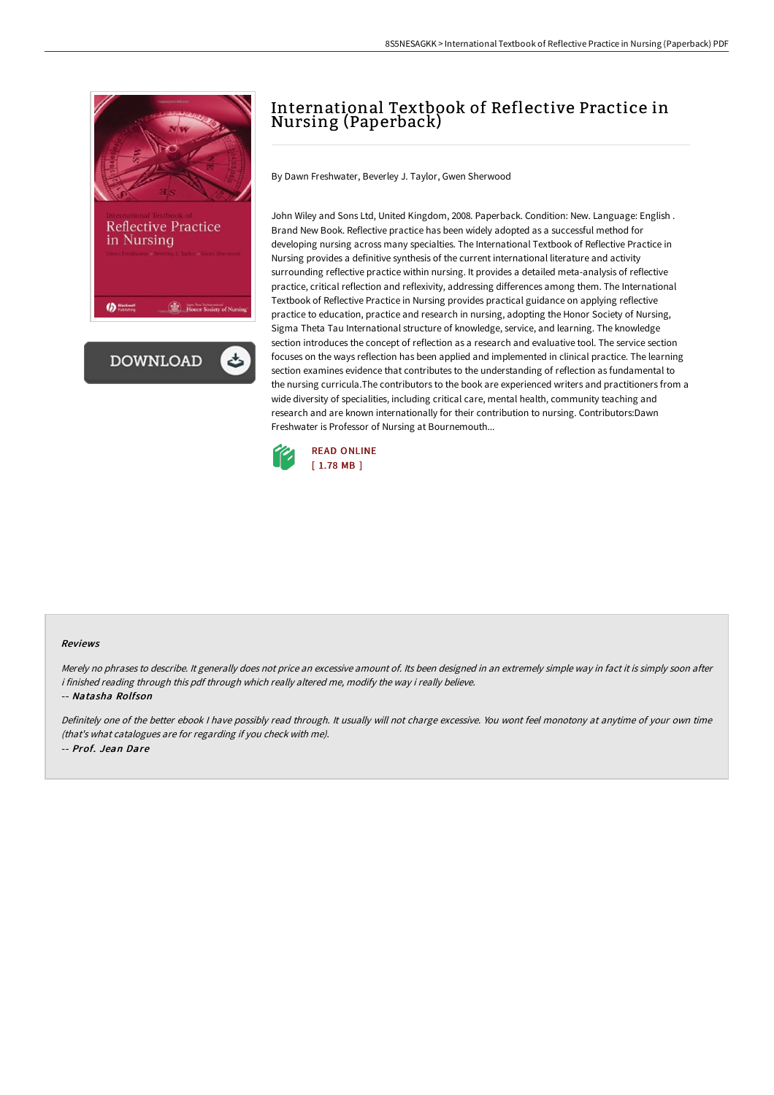



# International Textbook of Reflective Practice in Nursing (Paperback)

By Dawn Freshwater, Beverley J. Taylor, Gwen Sherwood

John Wiley and Sons Ltd, United Kingdom, 2008. Paperback. Condition: New. Language: English . Brand New Book. Reflective practice has been widely adopted as a successful method for developing nursing across many specialties. The International Textbook of Reflective Practice in Nursing provides a definitive synthesis of the current international literature and activity surrounding reflective practice within nursing. It provides a detailed meta-analysis of reflective practice, critical reflection and reflexivity, addressing differences among them. The International Textbook of Reflective Practice in Nursing provides practical guidance on applying reflective practice to education, practice and research in nursing, adopting the Honor Society of Nursing, Sigma Theta Tau International structure of knowledge, service, and learning. The knowledge section introduces the concept of reflection as a research and evaluative tool. The service section focuses on the ways reflection has been applied and implemented in clinical practice. The learning section examines evidence that contributes to the understanding of reflection as fundamental to the nursing curricula.The contributors to the book are experienced writers and practitioners from a wide diversity of specialities, including critical care, mental health, community teaching and research and are known internationally for their contribution to nursing. Contributors:Dawn Freshwater is Professor of Nursing at Bournemouth...



#### Reviews

Merely no phrases to describe. It generally does not price an excessive amount of. Its been designed in an extremely simple way in fact it is simply soon after i finished reading through this pdf through which really altered me, modify the way i really believe.

#### -- Natasha Rolfson

Definitely one of the better ebook <sup>I</sup> have possibly read through. It usually will not charge excessive. You wont feel monotony at anytime of your own time (that's what catalogues are for regarding if you check with me). -- Prof. Jean Dare